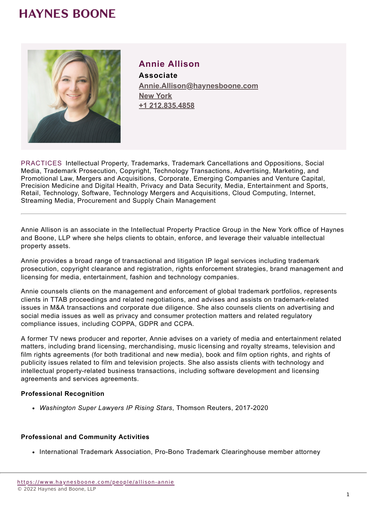## **HAYNES BOONE**



## **Annie Allison**

**Associate Annie.Allison@haynesboone.com [New York](https://www.haynesboone.com/locations/new-york) [+1 212.835.4858](tel://+1 212.835.4858)**

PRACTICES Intellectual Property, Trademarks, Trademark Cancellations and Oppositions, Social Media, Trademark Prosecution, Copyright, Technology Transactions, Advertising, Marketing, and Promotional Law, Mergers and Acquisitions, Corporate, Emerging Companies and Venture Capital, Precision Medicine and Digital Health, Privacy and Data Security, Media, Entertainment and Sports, Retail, Technology, Software, Technology Mergers and Acquisitions, Cloud Computing, Internet, Streaming Media, Procurement and Supply Chain Management

Annie Allison is an associate in the Intellectual Property Practice Group in the New York office of Haynes and Boone, LLP where she helps clients to obtain, enforce, and leverage their valuable intellectual property assets.

Annie provides a broad range of transactional and litigation IP legal services including trademark prosecution, copyright clearance and registration, rights enforcement strategies, brand management and licensing for media, entertainment, fashion and technology companies.

Annie counsels clients on the management and enforcement of global trademark portfolios, represents clients in TTAB proceedings and related negotiations, and advises and assists on trademark-related issues in M&A transactions and corporate due diligence. She also counsels clients on advertising and social media issues as well as privacy and consumer protection matters and related regulatory compliance issues, including COPPA, GDPR and CCPA.

A former TV news producer and reporter, Annie advises on a variety of media and entertainment related matters, including brand licensing, merchandising, music licensing and royalty streams, television and film rights agreements (for both traditional and new media), book and film option rights, and rights of publicity issues related to film and television projects. She also assists clients with technology and intellectual property-related business transactions, including software development and licensing agreements and services agreements.

#### **Professional Recognition**

*Washington Super Lawyers IP Rising Stars*, Thomson Reuters, 2017-2020

#### **Professional and Community Activities**

• International Trademark Association, Pro-Bono Trademark Clearinghouse member attorney